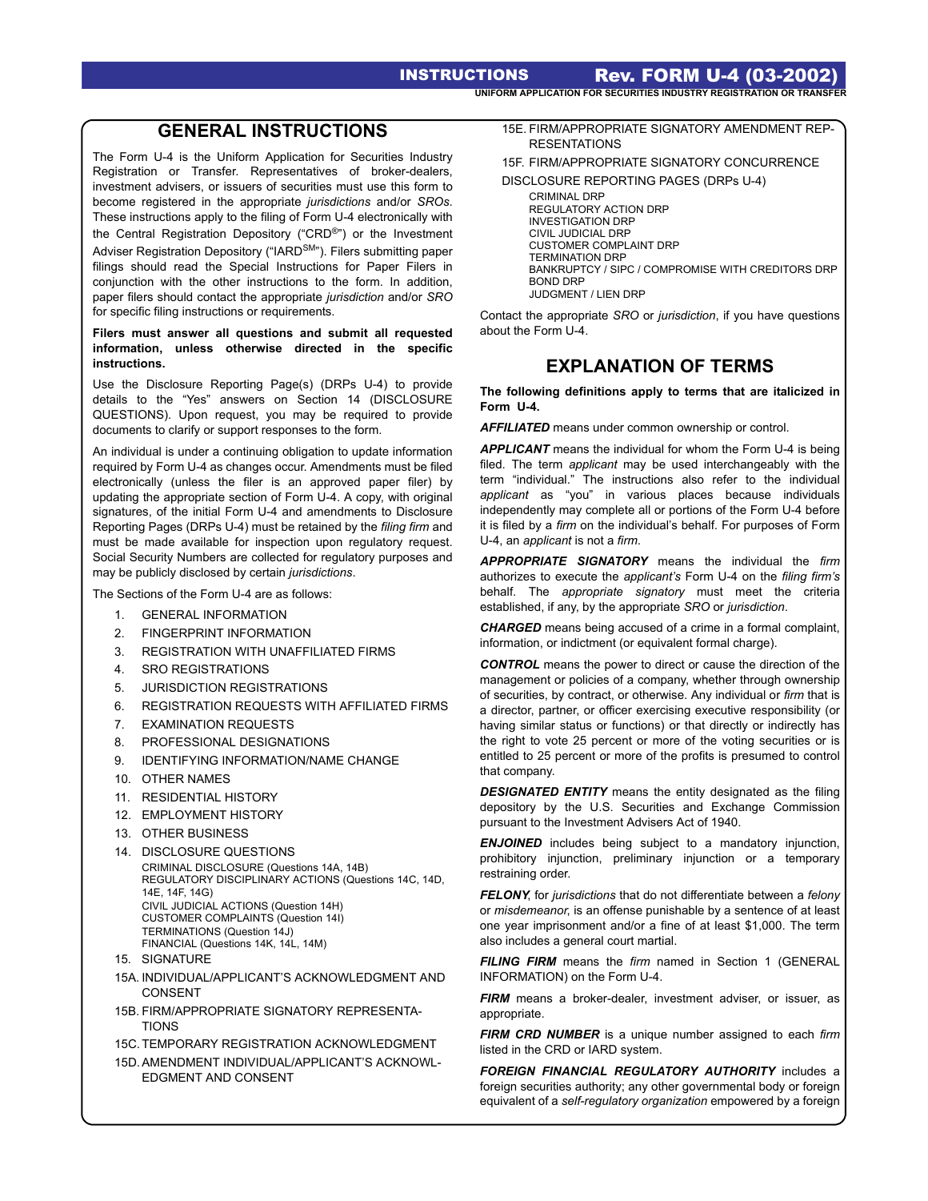INSTRUCTIONS Rev. FORM U-4 (03-2002) **UNIFORM APPLICATION FOR SECURITIES INDUSTRY REGISTRATION OR TRANSFER** 

# **GENERAL INSTRUCTIONS**

The Form U-4 is the Uniform Application for Securities Industry Registration or Transfer. Representatives of broker-dealers, investment advisers, or issuers of securities must use this form to become registered in the appropriate *jurisdictions* and/or *SROs*. These instructions apply to the filing of Form U-4 electronically with the Central Registration Depository ("CRD®") or the Investment Adviser Registration Depository ("IARD<sup>SM</sup>"). Filers submitting paper filings should read the Special Instructions for Paper Filers in conjunction with the other instructions to the form. In addition, paper filers should contact the appropriate *jurisdiction* and/or *SRO* for specific filing instructions or requirements.

#### **Filers must answer all questions and submit all requested information, unless otherwise directed in the specific instructions.**

Use the Disclosure Reporting Page(s) (DRPs U-4) to provide details to the "Yes" answers on Section 14 (DISCLOSURE QUESTIONS). Upon request, you may be required to provide documents to clarify or support responses to the form.

An individual is under a continuing obligation to update information required by Form U-4 as changes occur. Amendments must be filed electronically (unless the filer is an approved paper filer) by updating the appropriate section of Form U-4. A copy, with original signatures, of the initial Form U-4 and amendments to Disclosure Reporting Pages (DRPs U-4) must be retained by the *filing firm* and must be made available for inspection upon regulatory request. Social Security Numbers are collected for regulatory purposes and may be publicly disclosed by certain *jurisdictions*.

The Sections of the Form U-4 are as follows:

- 1. GENERAL INFORMATION
- 2. FINGERPRINT INFORMATION
- 3. REGISTRATION WITH UNAFFILIATED FIRMS
- 4. SRO REGISTRATIONS
- 5. JURISDICTION REGISTRATIONS
- 6. REGISTRATION REQUESTS WITH AFFILIATED FIRMS
- 7. EXAMINATION REQUESTS
- 8. PROFESSIONAL DESIGNATIONS
- 9. IDENTIFYING INFORMATION/NAME CHANGE
- 10. OTHER NAMES
- 11. RESIDENTIAL HISTORY
- 12. EMPLOYMENT HISTORY
- 13. OTHER BUSINESS
- 14. DISCLOSURE QUESTIONS CRIMINAL DISCLOSURE (Questions 14A, 14B) REGULATORY DISCIPLINARY ACTIONS (Questions 14C, 14D, 14E, 14F, 14G) CIVIL JUDICIAL ACTIONS (Question 14H) CUSTOMER COMPLAINTS (Question 14I) TERMINATIONS (Question 14J) FINANCIAL (Questions 14K, 14L, 14M)
- 15. SIGNATURE
- 15A. INDIVIDUAL/APPLICANT'S ACKNOWLEDGMENT AND CONSENT
- 15B. FIRM/APPROPRIATE SIGNATORY REPRESENTA-**TIONS**
- 15C. TEMPORARY REGISTRATION ACKNOWLEDGMENT
- 15D. AMENDMENT INDIVIDUAL/APPLICANT'S ACKNOWL-EDGMENT AND CONSENT
- 15E. FIRM/APPROPRIATE SIGNATORY AMENDMENT REP-**RESENTATIONS**
- 15F. FIRM/APPROPRIATE SIGNATORY CONCURRENCE DISCLOSURE REPORTING PAGES (DRPs U-4)

CRIMINAL DRP REGULATORY ACTION DRP INVESTIGATION DRP CIVIL JUDICIAL DRP CUSTOMER COMPLAINT DRP TERMINATION DRP BANKRUPTCY / SIPC / COMPROMISE WITH CREDITORS DRP BOND DRP JUDGMENT / LIEN DRP

Contact the appropriate *SRO* or *jurisdiction*, if you have questions about the Form U-4.

# **EXPLANATION OF TERMS**

**The following definitions apply to terms that are italicized in Form U-4.**

*AFFILIATED* means under common ownership or control.

*APPLICANT* means the individual for whom the Form U-4 is being filed. The term *applicant* may be used interchangeably with the term "individual." The instructions also refer to the individual *applicant* as "you" in various places because individuals independently may complete all or portions of the Form U-4 before it is filed by a *firm* on the individual's behalf. For purposes of Form U-4, an *applicant* is not a *firm*.

*APPROPRIATE SIGNATORY* means the individual the *firm* authorizes to execute the *applicant's* Form U-4 on the *filing firm's* behalf. The *appropriate signatory* must meet the criteria established, if any, by the appropriate *SRO* or *jurisdiction*.

*CHARGED* means being accused of a crime in a formal complaint, information, or indictment (or equivalent formal charge).

*CONTROL* means the power to direct or cause the direction of the management or policies of a company, whether through ownership of securities, by contract, or otherwise. Any individual or *firm* that is a director, partner, or officer exercising executive responsibility (or having similar status or functions) or that directly or indirectly has the right to vote 25 percent or more of the voting securities or is entitled to 25 percent or more of the profits is presumed to control that company.

**DESIGNATED ENTITY** means the entity designated as the filing depository by the U.S. Securities and Exchange Commission pursuant to the Investment Advisers Act of 1940.

*ENJOINED* includes being subject to a mandatory injunction, prohibitory injunction, preliminary injunction or a temporary restraining order.

*FELONY*, for *jurisdictions* that do not differentiate between a *felony* or *misdemeanor*, is an offense punishable by a sentence of at least one year imprisonment and/or a fine of at least \$1,000. The term also includes a general court martial.

*FILING FIRM* means the *firm* named in Section 1 (GENERAL INFORMATION) on the Form U-4.

*FIRM* means a broker-dealer, investment adviser, or issuer, as appropriate.

*FIRM CRD NUMBER* is a unique number assigned to each *firm* listed in the CRD or IARD system.

*FOREIGN FINANCIAL REGULATORY AUTHORITY* includes a foreign securities authority; any other governmental body or foreign equivalent of a *self-regulatory organization* empowered by a foreign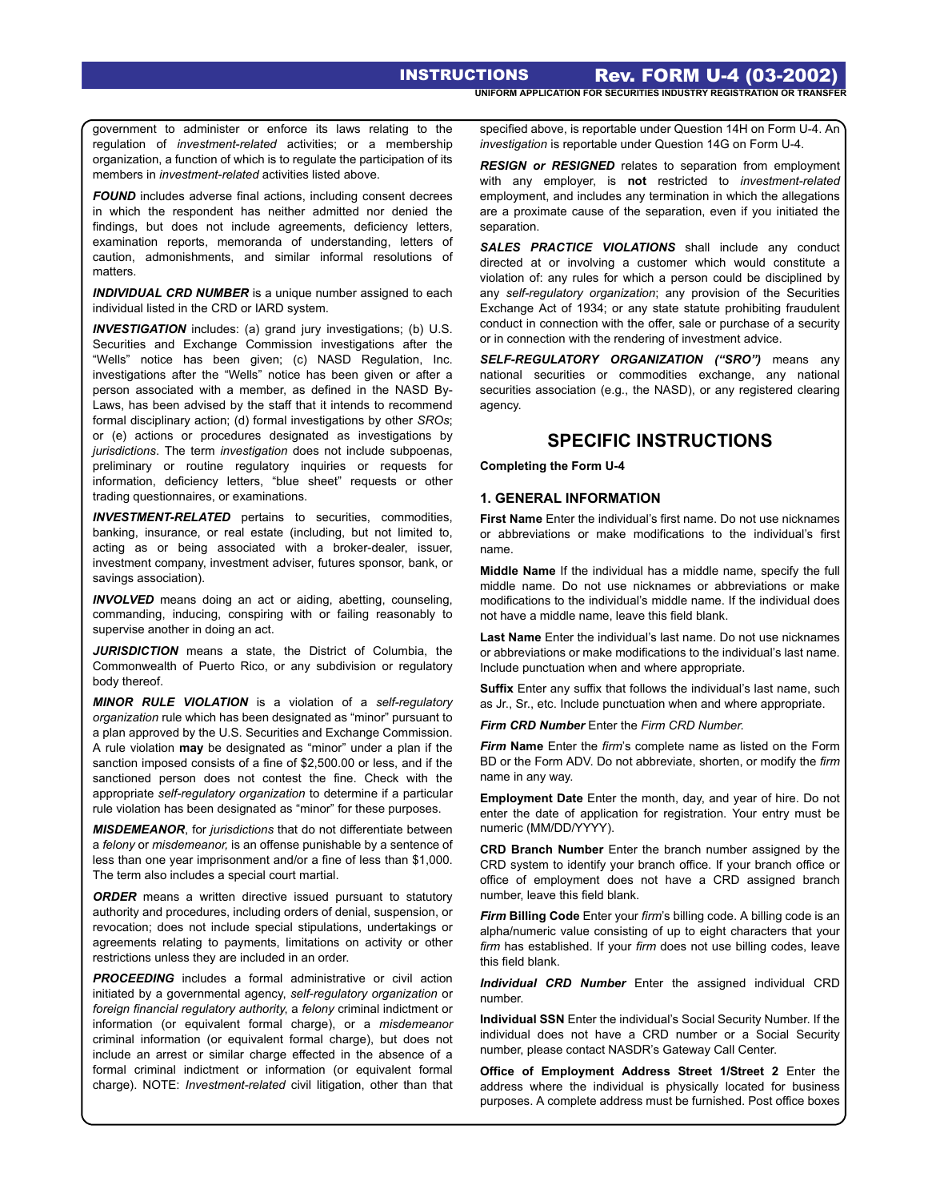government to administer or enforce its laws relating to the regulation of *investment-related* activities; or a membership organization, a function of which is to regulate the participation of its members in *investment-related* activities listed above.

**FOUND** includes adverse final actions, including consent decrees in which the respondent has neither admitted nor denied the findings, but does not include agreements, deficiency letters, examination reports, memoranda of understanding, letters of caution, admonishments, and similar informal resolutions of matters.

*INDIVIDUAL CRD NUMBER* is a unique number assigned to each individual listed in the CRD or IARD system.

*INVESTIGATION* includes: (a) grand jury investigations; (b) U.S. Securities and Exchange Commission investigations after the "Wells" notice has been given; (c) NASD Regulation, Inc. investigations after the "Wells" notice has been given or after a person associated with a member, as defined in the NASD By-Laws, has been advised by the staff that it intends to recommend formal disciplinary action; (d) formal investigations by other *SROs*; or (e) actions or procedures designated as investigations by *jurisdictions*. The term *investigation* does not include subpoenas, preliminary or routine regulatory inquiries or requests for information, deficiency letters, "blue sheet" requests or other trading questionnaires, or examinations.

*INVESTMENT-RELATED* pertains to securities, commodities, banking, insurance, or real estate (including, but not limited to, acting as or being associated with a broker-dealer, issuer, investment company, investment adviser, futures sponsor, bank, or savings association).

*INVOLVED* means doing an act or aiding, abetting, counseling, commanding, inducing, conspiring with or failing reasonably to supervise another in doing an act.

*JURISDICTION* means a state, the District of Columbia, the Commonwealth of Puerto Rico, or any subdivision or regulatory body thereof.

*MINOR RULE VIOLATION* is a violation of a *self-regulatory organization* rule which has been designated as "minor" pursuant to a plan approved by the U.S. Securities and Exchange Commission. A rule violation **may** be designated as "minor" under a plan if the sanction imposed consists of a fine of \$2,500.00 or less, and if the sanctioned person does not contest the fine. Check with the appropriate *self-regulatory organization* to determine if a particular rule violation has been designated as "minor" for these purposes.

*MISDEMEANOR*, for *jurisdictions* that do not differentiate between a *felony* or *misdemeanor,* is an offense punishable by a sentence of less than one year imprisonment and/or a fine of less than \$1,000. The term also includes a special court martial.

**ORDER** means a written directive issued pursuant to statutory authority and procedures, including orders of denial, suspension, or revocation; does not include special stipulations, undertakings or agreements relating to payments, limitations on activity or other restrictions unless they are included in an order.

**PROCEEDING** includes a formal administrative or civil action initiated by a governmental agency, *self-regulatory organization* or *foreign financial regulatory authority*, a *felony* criminal indictment or information (or equivalent formal charge), or a *misdemeanor* criminal information (or equivalent formal charge), but does not include an arrest or similar charge effected in the absence of a formal criminal indictment or information (or equivalent formal charge). NOTE: *Investment-related* civil litigation, other than that specified above, is reportable under Question 14H on Form U-4. An *investigation* is reportable under Question 14G on Form U-4.

*RESIGN or RESIGNED* relates to separation from employment with any employer, is **not** restricted to *investment-related* employment, and includes any termination in which the allegations are a proximate cause of the separation, even if you initiated the separation.

SALES PRACTICE VIOLATIONS shall include any conduct directed at or involving a customer which would constitute a violation of: any rules for which a person could be disciplined by any *self-regulatory organization*; any provision of the Securities Exchange Act of 1934; or any state statute prohibiting fraudulent conduct in connection with the offer, sale or purchase of a security or in connection with the rendering of investment advice.

*SELF-REGULATORY ORGANIZATION ("SRO")* means any national securities or commodities exchange, any national securities association (e.g., the NASD), or any registered clearing agency.

# **SPECIFIC INSTRUCTIONS**

**Completing the Form U-4**

#### **1. GENERAL INFORMATION**

**First Name** Enter the individual's first name. Do not use nicknames or abbreviations or make modifications to the individual's first name.

**Middle Name** If the individual has a middle name, specify the full middle name. Do not use nicknames or abbreviations or make modifications to the individual's middle name. If the individual does not have a middle name, leave this field blank.

**Last Name** Enter the individual's last name. Do not use nicknames or abbreviations or make modifications to the individual's last name. Include punctuation when and where appropriate.

**Suffix** Enter any suffix that follows the individual's last name, such as Jr., Sr., etc. Include punctuation when and where appropriate.

*Firm CRD Number* Enter the *Firm CRD Number*.

*Firm* Name Enter the *firm*'s complete name as listed on the Form BD or the Form ADV. Do not abbreviate, shorten, or modify the *firm* name in any way.

**Employment Date** Enter the month, day, and year of hire. Do not enter the date of application for registration. Your entry must be numeric (MM/DD/YYYY).

**CRD Branch Number** Enter the branch number assigned by the CRD system to identify your branch office. If your branch office or office of employment does not have a CRD assigned branch number, leave this field blank.

*Firm* **Billing Code** Enter your *firm*'s billing code. A billing code is an alpha/numeric value consisting of up to eight characters that your *firm* has established. If your *firm* does not use billing codes, leave this field blank.

*Individual CRD Number* Enter the assigned individual CRD number.

**Individual SSN** Enter the individual's Social Security Number. If the individual does not have a CRD number or a Social Security number, please contact NASDR's Gateway Call Center.

**Office of Employment Address Street 1/Street 2** Enter the address where the individual is physically located for business purposes. A complete address must be furnished. Post office boxes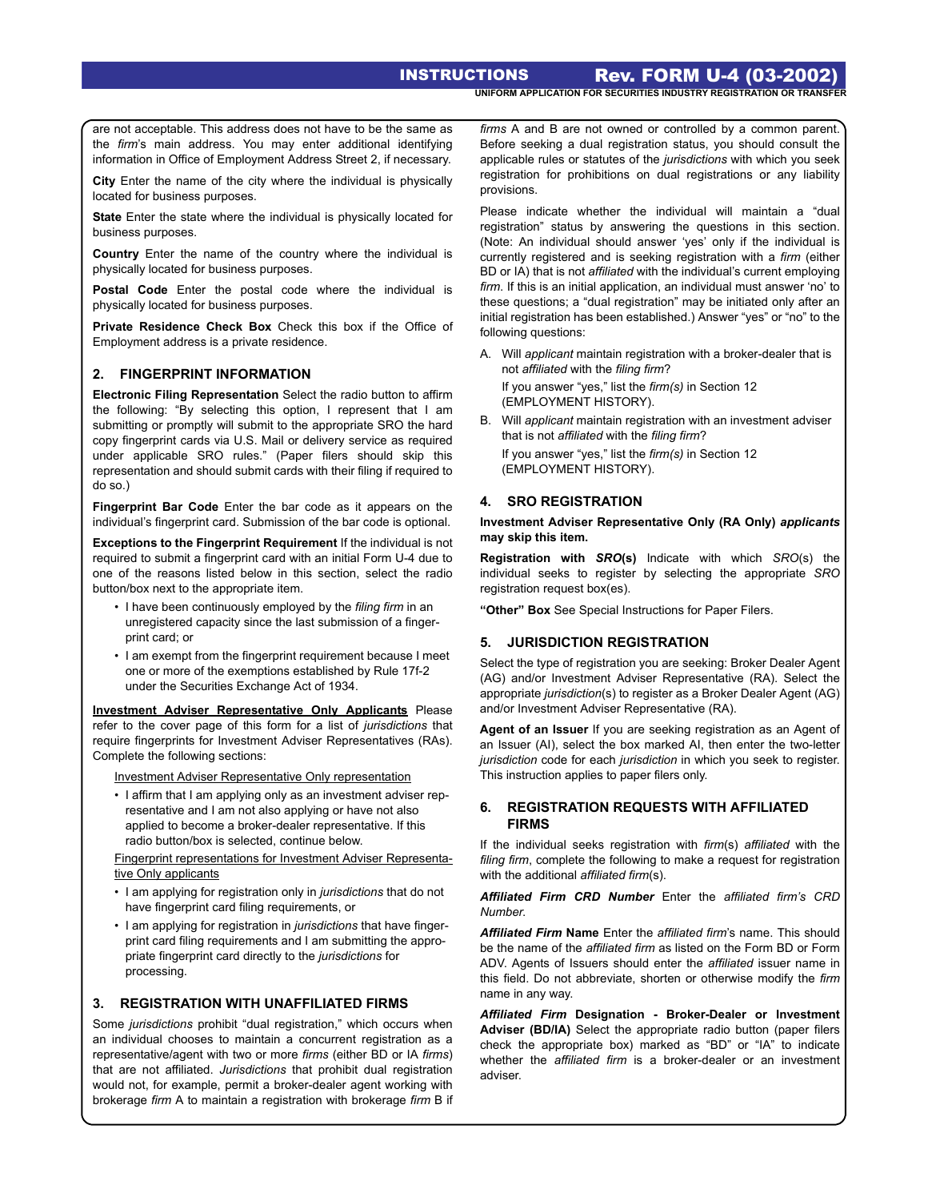are not acceptable. This address does not have to be the same as the *firm*'s main address. You may enter additional identifying information in Office of Employment Address Street 2, if necessary.

**City** Enter the name of the city where the individual is physically located for business purposes.

**State** Enter the state where the individual is physically located for business purposes.

**Country** Enter the name of the country where the individual is physically located for business purposes.

**Postal Code** Enter the postal code where the individual is physically located for business purposes.

**Private Residence Check Box** Check this box if the Office of Employment address is a private residence.

# **2. FINGERPRINT INFORMATION**

**Electronic Filing Representation** Select the radio button to affirm the following: "By selecting this option, I represent that I am submitting or promptly will submit to the appropriate SRO the hard copy fingerprint cards via U.S. Mail or delivery service as required under applicable SRO rules." (Paper filers should skip this representation and should submit cards with their filing if required to do so.)

**Fingerprint Bar Code** Enter the bar code as it appears on the individual's fingerprint card. Submission of the bar code is optional.

**Exceptions to the Fingerprint Requirement** If the individual is not required to submit a fingerprint card with an initial Form U-4 due to one of the reasons listed below in this section, select the radio button/box next to the appropriate item.

- I have been continuously employed by the *filing firm* in an unregistered capacity since the last submission of a fingerprint card; or
- I am exempt from the fingerprint requirement because I meet one or more of the exemptions established by Rule 17f-2 under the Securities Exchange Act of 1934.

**Investment Adviser Representative Only Applicants** Please refer to the cover page of this form for a list of *jurisdictions* that require fingerprints for Investment Adviser Representatives (RAs). Complete the following sections:

Investment Adviser Representative Only representation

• I affirm that I am applying only as an investment adviser representative and I am not also applying or have not also applied to become a broker-dealer representative. If this radio button/box is selected, continue below.

Fingerprint representations for Investment Adviser Representative Only applicants

- I am applying for registration only in *jurisdictions* that do not have fingerprint card filing requirements, or
- I am applying for registration in *jurisdictions* that have fingerprint card filing requirements and I am submitting the appropriate fingerprint card directly to the *jurisdictions* for processing.

# **3. REGISTRATION WITH UNAFFILIATED FIRMS**

Some *jurisdictions* prohibit "dual registration," which occurs when an individual chooses to maintain a concurrent registration as a representative/agent with two or more *firms* (either BD or IA *firms*) that are not affiliated. *Jurisdictions* that prohibit dual registration would not, for example, permit a broker-dealer agent working with brokerage *firm* A to maintain a registration with brokerage *firm* B if *firms* A and B are not owned or controlled by a common parent. Before seeking a dual registration status, you should consult the applicable rules or statutes of the *jurisdictions* with which you seek registration for prohibitions on dual registrations or any liability provisions.

Please indicate whether the individual will maintain a "dual registration" status by answering the questions in this section. (Note: An individual should answer 'yes' only if the individual is currently registered and is seeking registration with a *firm* (either BD or IA) that is not *affiliated* with the individual's current employing *firm*. If this is an initial application, an individual must answer 'no' to these questions; a "dual registration" may be initiated only after an initial registration has been established.) Answer "yes" or "no" to the following questions:

A. Will *applicant* maintain registration with a broker-dealer that is not *affiliated* with the *filing firm*?

If you answer "yes," list the *firm(s)* in Section 12 (EMPLOYMENT HISTORY).

B. Will *applicant* maintain registration with an investment adviser that is not *affiliated* with the *filing firm*? If you answer "yes," list the *firm(s)* in Section 12 (EMPLOYMENT HISTORY).

## **4. SRO REGISTRATION**

#### **Investment Adviser Representative Only (RA Only)** *applicants* **may skip this item.**

**Registration with** *SRO***(s)** Indicate with which *SRO*(s) the individual seeks to register by selecting the appropriate *SRO* registration request box(es).

**"Other" Box** See Special Instructions for Paper Filers.

#### **5. JURISDICTION REGISTRATION**

Select the type of registration you are seeking: Broker Dealer Agent (AG) and/or Investment Adviser Representative (RA). Select the appropriate *jurisdiction*(s) to register as a Broker Dealer Agent (AG) and/or Investment Adviser Representative (RA).

**Agent of an Issuer** If you are seeking registration as an Agent of an Issuer (AI), select the box marked AI, then enter the two-letter *jurisdiction* code for each *jurisdiction* in which you seek to register. This instruction applies to paper filers only.

## **6. REGISTRATION REQUESTS WITH AFFILIATED FIRMS**

If the individual seeks registration with *firm*(s) *affiliated* with the *filing firm*, complete the following to make a request for registration with the additional *affiliated firm*(s).

*Affiliated Firm CRD Number* Enter the *affiliated firm's CRD Number*.

*Affiliated Firm* **Name** Enter the *affiliated firm*'s name. This should be the name of the *affiliated firm* as listed on the Form BD or Form ADV. Agents of Issuers should enter the *affiliated* issuer name in this field. Do not abbreviate, shorten or otherwise modify the *firm* name in any way.

*Affiliated Firm* **Designation - Broker-Dealer or Investment Adviser (BD/IA)** Select the appropriate radio button (paper filers check the appropriate box) marked as "BD" or "IA" to indicate whether the *affiliated firm* is a broker-dealer or an investment adviser.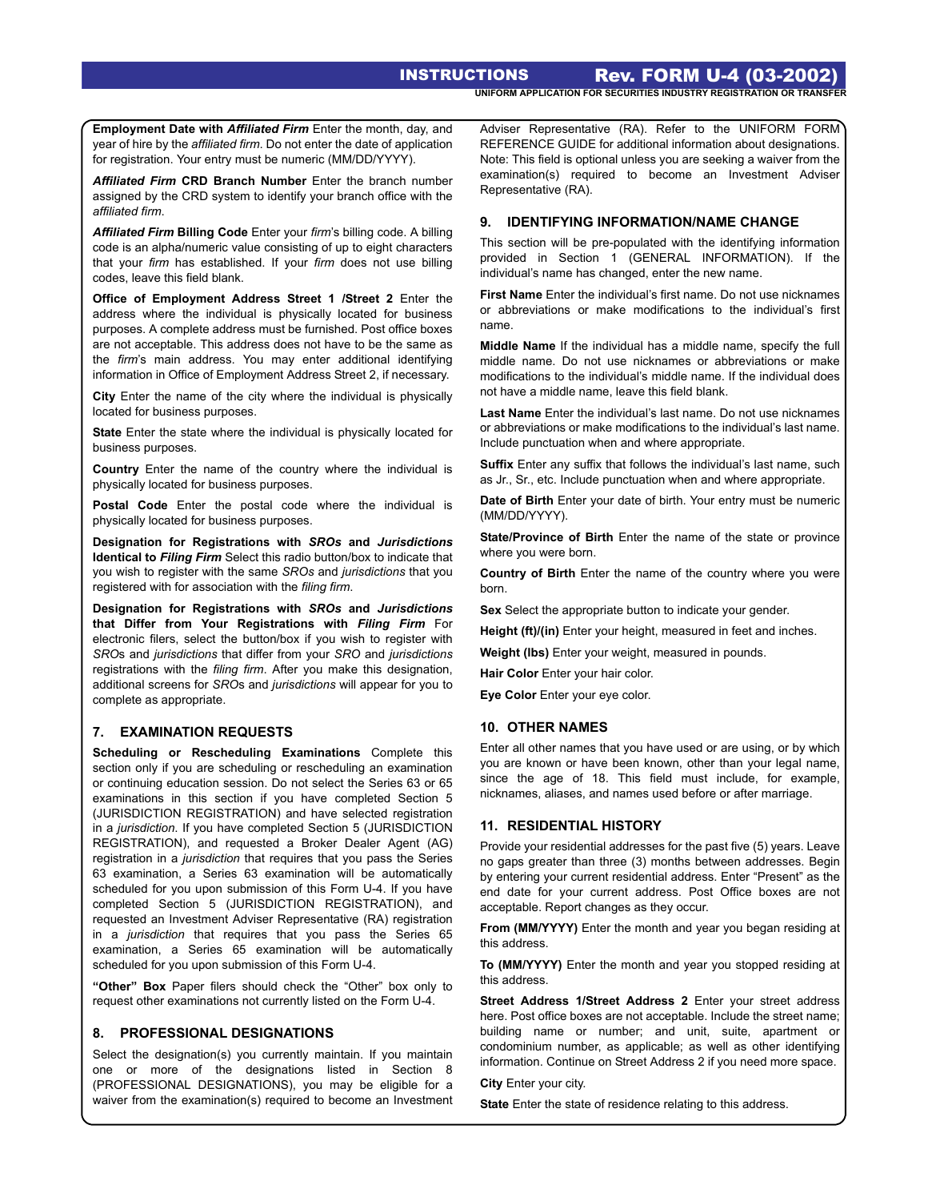**Employment Date with** *Affiliated Firm* Enter the month, day, and year of hire by the *affiliated firm*. Do not enter the date of application for registration. Your entry must be numeric (MM/DD/YYYY).

*Affiliated Firm* **CRD Branch Number** Enter the branch number assigned by the CRD system to identify your branch office with the *affiliated firm*.

*Affiliated Firm* **Billing Code** Enter your *firm*'s billing code. A billing code is an alpha/numeric value consisting of up to eight characters that your *firm* has established. If your *firm* does not use billing codes, leave this field blank.

**Office of Employment Address Street 1 /Street 2** Enter the address where the individual is physically located for business purposes. A complete address must be furnished. Post office boxes are not acceptable. This address does not have to be the same as the *firm*'s main address. You may enter additional identifying information in Office of Employment Address Street 2, if necessary.

**City** Enter the name of the city where the individual is physically located for business purposes.

**State** Enter the state where the individual is physically located for business purposes.

**Country** Enter the name of the country where the individual is physically located for business purposes.

**Postal Code** Enter the postal code where the individual is physically located for business purposes.

**Designation for Registrations with** *SROs* **and** *Jurisdictions* **Identical to** *Filing Firm* Select this radio button/box to indicate that you wish to register with the same *SROs* and *jurisdictions* that you registered with for association with the *filing firm*.

**Designation for Registrations with** *SROs* **and** *Jurisdictions* **that Differ from Your Registrations with** *Filing Firm* For electronic filers, select the button/box if you wish to register with *SRO*s and *jurisdictions* that differ from your *SRO* and *jurisdictions* registrations with the *filing firm*. After you make this designation, additional screens for *SRO*s and *jurisdictions* will appear for you to complete as appropriate.

#### **7. EXAMINATION REQUESTS**

**Scheduling or Rescheduling Examinations** Complete this section only if you are scheduling or rescheduling an examination or continuing education session. Do not select the Series 63 or 65 examinations in this section if you have completed Section 5 (JURISDICTION REGISTRATION) and have selected registration in a *jurisdiction*. If you have completed Section 5 (JURISDICTION REGISTRATION), and requested a Broker Dealer Agent (AG) registration in a *jurisdiction* that requires that you pass the Series 63 examination, a Series 63 examination will be automatically scheduled for you upon submission of this Form U-4. If you have completed Section 5 (JURISDICTION REGISTRATION), and requested an Investment Adviser Representative (RA) registration in a *jurisdiction* that requires that you pass the Series 65 examination, a Series 65 examination will be automatically scheduled for you upon submission of this Form U-4.

**"Other" Box** Paper filers should check the "Other" box only to request other examinations not currently listed on the Form U-4.

# **8. PROFESSIONAL DESIGNATIONS**

Select the designation(s) you currently maintain. If you maintain one or more of the designations listed in Section 8 (PROFESSIONAL DESIGNATIONS), you may be eligible for a waiver from the examination(s) required to become an Investment Adviser Representative (RA). Refer to the UNIFORM FORM REFERENCE GUIDE for additional information about designations. Note: This field is optional unless you are seeking a waiver from the examination(s) required to become an Investment Adviser Representative (RA).

## **9. IDENTIFYING INFORMATION/NAME CHANGE**

This section will be pre-populated with the identifying information provided in Section 1 (GENERAL INFORMATION). If the individual's name has changed, enter the new name.

**First Name** Enter the individual's first name. Do not use nicknames or abbreviations or make modifications to the individual's first name.

**Middle Name** If the individual has a middle name, specify the full middle name. Do not use nicknames or abbreviations or make modifications to the individual's middle name. If the individual does not have a middle name, leave this field blank.

**Last Name** Enter the individual's last name. Do not use nicknames or abbreviations or make modifications to the individual's last name. Include punctuation when and where appropriate.

**Suffix** Enter any suffix that follows the individual's last name, such as Jr., Sr., etc. Include punctuation when and where appropriate.

**Date of Birth** Enter your date of birth. Your entry must be numeric (MM/DD/YYYY).

**State/Province of Birth** Enter the name of the state or province where you were born.

**Country of Birth** Enter the name of the country where you were born.

**Sex** Select the appropriate button to indicate your gender.

**Height (ft)/(in)** Enter your height, measured in feet and inches.

**Weight (lbs)** Enter your weight, measured in pounds.

**Hair Color** Enter your hair color.

**Eye Color** Enter your eye color.

#### **10. OTHER NAMES**

Enter all other names that you have used or are using, or by which you are known or have been known, other than your legal name, since the age of 18. This field must include, for example, nicknames, aliases, and names used before or after marriage.

# **11. RESIDENTIAL HISTORY**

Provide your residential addresses for the past five (5) years. Leave no gaps greater than three (3) months between addresses. Begin by entering your current residential address. Enter "Present" as the end date for your current address. Post Office boxes are not acceptable. Report changes as they occur.

**From (MM/YYYY)** Enter the month and year you began residing at this address.

**To (MM/YYYY)** Enter the month and year you stopped residing at this address.

**Street Address 1/Street Address 2** Enter your street address here. Post office boxes are not acceptable. Include the street name; building name or number; and unit, suite, apartment or condominium number, as applicable; as well as other identifying information. Continue on Street Address 2 if you need more space.

**City** Enter your city.

**State** Enter the state of residence relating to this address.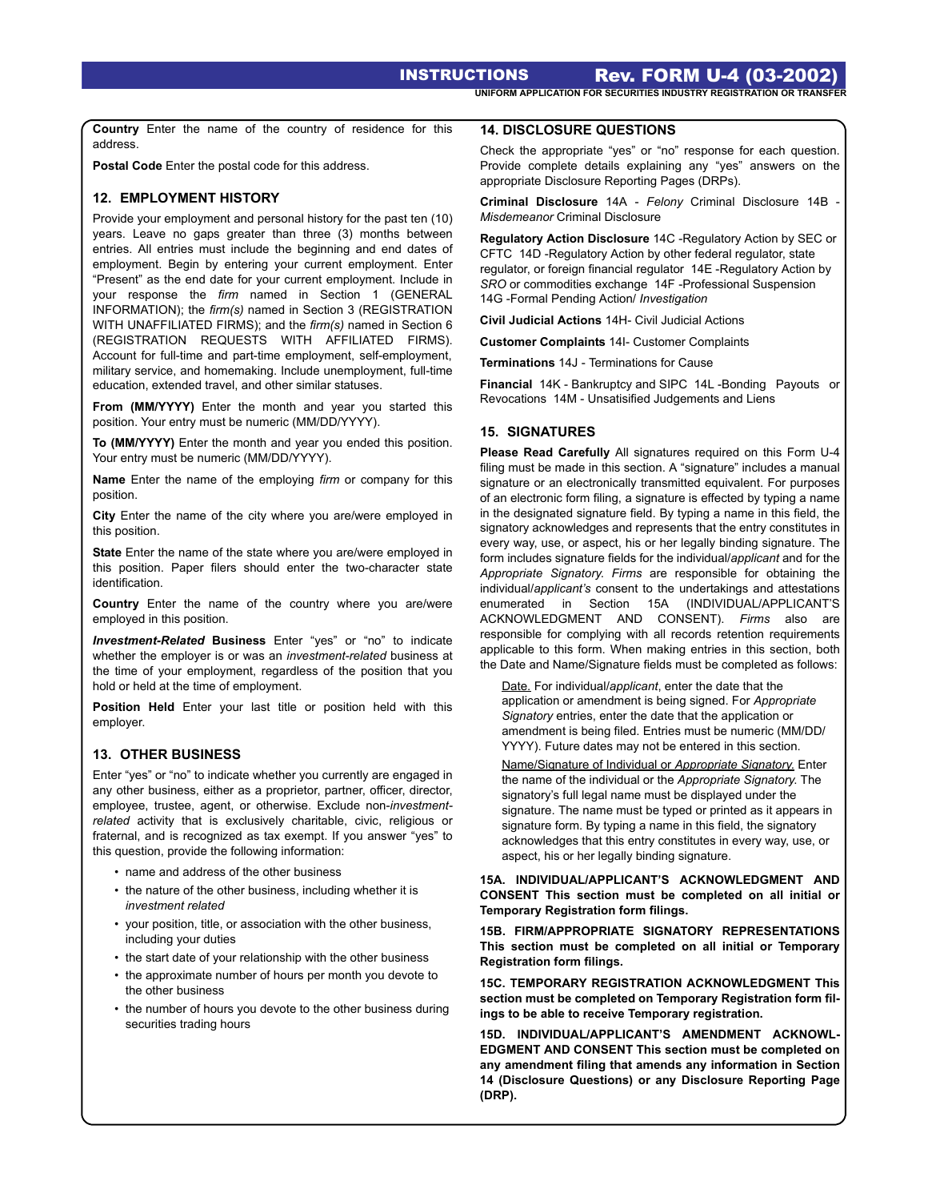INSTRUCTIONS Rev. FORM U-4 (03-2002) **UNIFORM APPLICATION FOR SECURITIES INDUSTRY REGISTRATION OR TRANSFER** 

**Country** Enter the name of the country of residence for this address.

**Postal Code** Enter the postal code for this address.

## **12. EMPLOYMENT HISTORY**

Provide your employment and personal history for the past ten (10) years. Leave no gaps greater than three (3) months between entries. All entries must include the beginning and end dates of employment. Begin by entering your current employment. Enter "Present" as the end date for your current employment. Include in your response the *firm* named in Section 1 (GENERAL INFORMATION); the *firm(s)* named in Section 3 (REGISTRATION WITH UNAFFILIATED FIRMS); and the *firm(s)* named in Section 6 (REGISTRATION REQUESTS WITH AFFILIATED FIRMS). Account for full-time and part-time employment, self-employment, military service, and homemaking. Include unemployment, full-time education, extended travel, and other similar statuses.

**From (MM/YYYY)** Enter the month and year you started this position. Your entry must be numeric (MM/DD/YYYY).

**To (MM/YYYY)** Enter the month and year you ended this position. Your entry must be numeric (MM/DD/YYYY).

**Name** Enter the name of the employing *firm* or company for this position.

**City** Enter the name of the city where you are/were employed in this position.

**State** Enter the name of the state where you are/were employed in this position. Paper filers should enter the two-character state identification.

**Country** Enter the name of the country where you are/were employed in this position.

*Investment-Related* **Business** Enter "yes" or "no" to indicate whether the employer is or was an *investment-related* business at the time of your employment, regardless of the position that you hold or held at the time of employment.

**Position Held** Enter your last title or position held with this employer.

# **13. OTHER BUSINESS**

Enter "yes" or "no" to indicate whether you currently are engaged in any other business, either as a proprietor, partner, officer, director, employee, trustee, agent, or otherwise. Exclude non-*investmentrelated* activity that is exclusively charitable, civic, religious or fraternal, and is recognized as tax exempt. If you answer "yes" to this question, provide the following information:

- name and address of the other business
- the nature of the other business, including whether it is *investment related*
- your position, title, or association with the other business, including your duties
- the start date of your relationship with the other business
- the approximate number of hours per month you devote to the other business
- the number of hours you devote to the other business during securities trading hours

## **14. DISCLOSURE QUESTIONS**

Check the appropriate "yes" or "no" response for each question. Provide complete details explaining any "yes" answers on the appropriate Disclosure Reporting Pages (DRPs).

**Criminal Disclosure** 14A - *Felony* Criminal Disclosure 14B - *Misdemeanor* Criminal Disclosure

**Regulatory Action Disclosure** 14C -Regulatory Action by SEC or CFTC 14D -Regulatory Action by other federal regulator, state regulator, or foreign financial regulator 14E -Regulatory Action by *SRO* or commodities exchange 14F -Professional Suspension 14G -Formal Pending Action/ *Investigation* 

**Civil Judicial Actions** 14H- Civil Judicial Actions

**Customer Complaints** 14I- Customer Complaints

**Terminations** 14J - Terminations for Cause

**Financial** 14K - Bankruptcy and SIPC 14L -Bonding Payouts or Revocations 14M - Unsatisified Judgements and Liens

## **15. SIGNATURES**

**Please Read Carefully** All signatures required on this Form U-4 filing must be made in this section. A "signature" includes a manual signature or an electronically transmitted equivalent. For purposes of an electronic form filing, a signature is effected by typing a name in the designated signature field. By typing a name in this field, the signatory acknowledges and represents that the entry constitutes in every way, use, or aspect, his or her legally binding signature. The form includes signature fields for the individual/*applicant* and for the *Appropriate Signatory*. *Firms* are responsible for obtaining the individual/*applicant's* consent to the undertakings and attestations enumerated in Section 15A (INDIVIDUAL/APPLICANT'S ACKNOWLEDGMENT AND CONSENT). *Firms* also are responsible for complying with all records retention requirements applicable to this form. When making entries in this section, both the Date and Name/Signature fields must be completed as follows:

Date. For individual/*applicant*, enter the date that the application or amendment is being signed. For *Appropriate Signatory* entries, enter the date that the application or amendment is being filed. Entries must be numeric (MM/DD/ YYYY). Future dates may not be entered in this section.

Name/Signature of Individual or *Appropriate Signatory*. Enter the name of the individual or the *Appropriate Signatory*. The signatory's full legal name must be displayed under the signature. The name must be typed or printed as it appears in signature form. By typing a name in this field, the signatory acknowledges that this entry constitutes in every way, use, or aspect, his or her legally binding signature.

**15A. INDIVIDUAL/APPLICANT'S ACKNOWLEDGMENT AND CONSENT This section must be completed on all initial or Temporary Registration form filings.** 

**15B. FIRM/APPROPRIATE SIGNATORY REPRESENTATIONS This section must be completed on all initial or Temporary Registration form filings.** 

**15C. TEMPORARY REGISTRATION ACKNOWLEDGMENT This section must be completed on Temporary Registration form filings to be able to receive Temporary registration.** 

**15D. INDIVIDUAL/APPLICANT'S AMENDMENT ACKNOWL-EDGMENT AND CONSENT This section must be completed on any amendment filing that amends any information in Section 14 (Disclosure Questions) or any Disclosure Reporting Page (DRP).**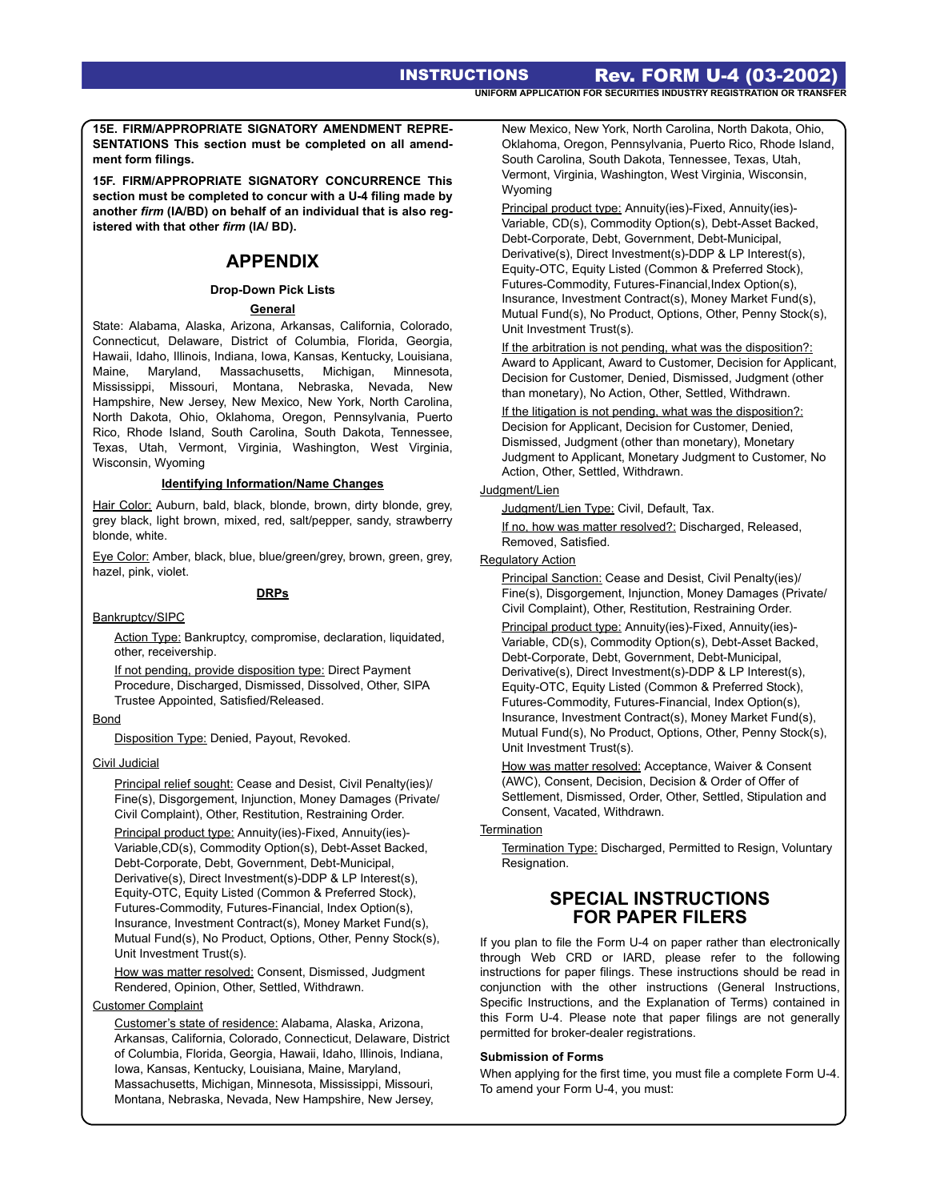**15E. FIRM/APPROPRIATE SIGNATORY AMENDMENT REPRE-SENTATIONS This section must be completed on all amendment form filings.** 

**15F. FIRM/APPROPRIATE SIGNATORY CONCURRENCE This section must be completed to concur with a U-4 filing made by another** *firm* **(IA/BD) on behalf of an individual that is also registered with that other** *firm* **(IA/ BD).** 

# **APPENDIX**

## **Drop-Down Pick Lists**

#### **General**

State: Alabama, Alaska, Arizona, Arkansas, California, Colorado, Connecticut, Delaware, District of Columbia, Florida, Georgia, Hawaii, Idaho, Illinois, Indiana, Iowa, Kansas, Kentucky, Louisiana, Maine, Maryland, Massachusetts, Michigan, Minnesota, Mississippi, Missouri, Montana, Nebraska, Nevada, New Hampshire, New Jersey, New Mexico, New York, North Carolina, North Dakota, Ohio, Oklahoma, Oregon, Pennsylvania, Puerto Rico, Rhode Island, South Carolina, South Dakota, Tennessee, Texas, Utah, Vermont, Virginia, Washington, West Virginia, Wisconsin, Wyoming

#### **Identifying Information/Name Changes**

Hair Color: Auburn, bald, black, blonde, brown, dirty blonde, grey, grey black, light brown, mixed, red, salt/pepper, sandy, strawberry blonde, white.

Eye Color: Amber, black, blue, blue/green/grey, brown, green, grey, hazel, pink, violet.

#### **DRPs**

#### Bankruptcy/SIPC

Action Type: Bankruptcy, compromise, declaration, liquidated, other, receivership.

If not pending, provide disposition type: Direct Payment Procedure, Discharged, Dismissed, Dissolved, Other, SIPA Trustee Appointed, Satisfied/Released.

#### **Bond**

Disposition Type: Denied, Payout, Revoked.

#### Civil Judicial

Principal relief sought: Cease and Desist, Civil Penalty(ies)/ Fine(s), Disgorgement, Injunction, Money Damages (Private/ Civil Complaint), Other, Restitution, Restraining Order.

Principal product type: Annuity(ies)-Fixed, Annuity(ies)- Variable,CD(s), Commodity Option(s), Debt-Asset Backed, Debt-Corporate, Debt, Government, Debt-Municipal, Derivative(s), Direct Investment(s)-DDP & LP Interest(s), Equity-OTC, Equity Listed (Common & Preferred Stock), Futures-Commodity, Futures-Financial, Index Option(s), Insurance, Investment Contract(s), Money Market Fund(s), Mutual Fund(s), No Product, Options, Other, Penny Stock(s), Unit Investment Trust(s).

How was matter resolved: Consent, Dismissed, Judgment Rendered, Opinion, Other, Settled, Withdrawn.

#### Customer Complaint

Customer's state of residence: Alabama, Alaska, Arizona, Arkansas, California, Colorado, Connecticut, Delaware, District of Columbia, Florida, Georgia, Hawaii, Idaho, Illinois, Indiana, Iowa, Kansas, Kentucky, Louisiana, Maine, Maryland, Massachusetts, Michigan, Minnesota, Mississippi, Missouri, Montana, Nebraska, Nevada, New Hampshire, New Jersey,

New Mexico, New York, North Carolina, North Dakota, Ohio, Oklahoma, Oregon, Pennsylvania, Puerto Rico, Rhode Island, South Carolina, South Dakota, Tennessee, Texas, Utah, Vermont, Virginia, Washington, West Virginia, Wisconsin, Wyoming

Principal product type: Annuity(ies)-Fixed, Annuity(ies)- Variable, CD(s), Commodity Option(s), Debt-Asset Backed, Debt-Corporate, Debt, Government, Debt-Municipal, Derivative(s), Direct Investment(s)-DDP & LP Interest(s), Equity-OTC, Equity Listed (Common & Preferred Stock), Futures-Commodity, Futures-Financial,Index Option(s), Insurance, Investment Contract(s), Money Market Fund(s), Mutual Fund(s), No Product, Options, Other, Penny Stock(s), Unit Investment Trust(s).

If the arbitration is not pending, what was the disposition?: Award to Applicant, Award to Customer, Decision for Applicant, Decision for Customer, Denied, Dismissed, Judgment (other than monetary), No Action, Other, Settled, Withdrawn.

If the litigation is not pending, what was the disposition?: Decision for Applicant, Decision for Customer, Denied, Dismissed, Judgment (other than monetary), Monetary Judgment to Applicant, Monetary Judgment to Customer, No Action, Other, Settled, Withdrawn.

## Judgment/Lien

Judgment/Lien Type: Civil, Default, Tax.

If no, how was matter resolved?: Discharged, Released, Removed, Satisfied.

#### Regulatory Action

Principal Sanction: Cease and Desist, Civil Penalty(ies)/ Fine(s), Disgorgement, Injunction, Money Damages (Private/ Civil Complaint), Other, Restitution, Restraining Order.

Principal product type: Annuity(ies)-Fixed, Annuity(ies)- Variable, CD(s), Commodity Option(s), Debt-Asset Backed, Debt-Corporate, Debt, Government, Debt-Municipal, Derivative(s), Direct Investment(s)-DDP & LP Interest(s), Equity-OTC, Equity Listed (Common & Preferred Stock), Futures-Commodity, Futures-Financial, Index Option(s), Insurance, Investment Contract(s), Money Market Fund(s), Mutual Fund(s), No Product, Options, Other, Penny Stock(s), Unit Investment Trust(s).

How was matter resolved: Acceptance, Waiver & Consent (AWC), Consent, Decision, Decision & Order of Offer of Settlement, Dismissed, Order, Other, Settled, Stipulation and Consent, Vacated, Withdrawn.

# **Termination**

Termination Type: Discharged, Permitted to Resign, Voluntary Resignation.

# **SPECIAL INSTRUCTIONS FOR PAPER FILERS**

If you plan to file the Form U-4 on paper rather than electronically through Web CRD or IARD, please refer to the following instructions for paper filings. These instructions should be read in conjunction with the other instructions (General Instructions, Specific Instructions, and the Explanation of Terms) contained in this Form U-4. Please note that paper filings are not generally permitted for broker-dealer registrations.

#### **Submission of Forms**

When applying for the first time, you must file a complete Form U-4. To amend your Form U-4, you must: